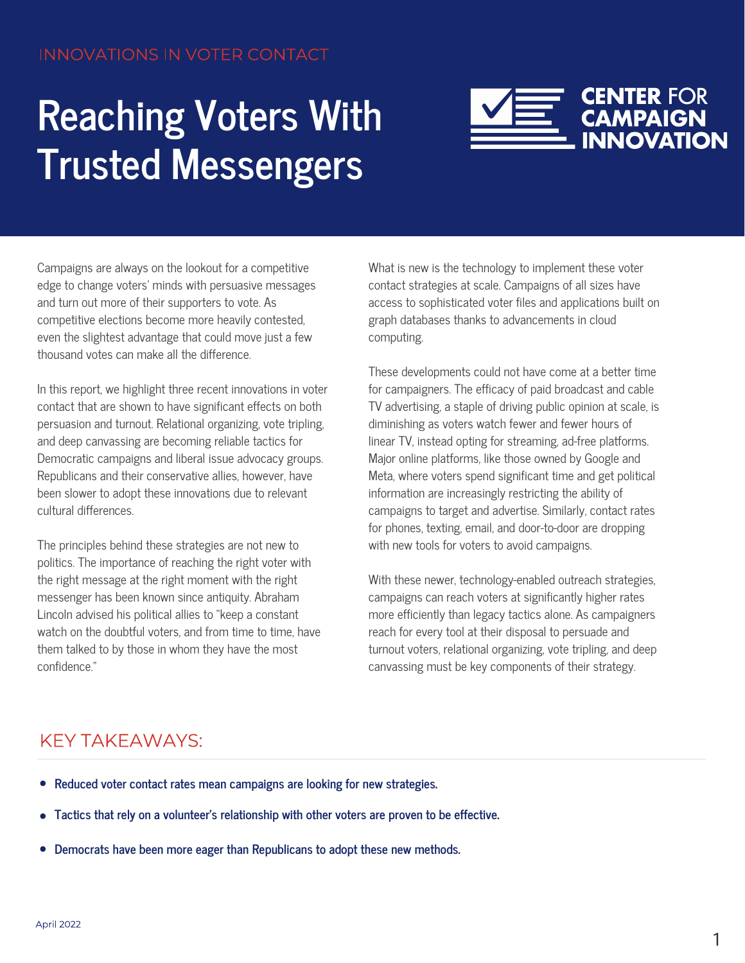## **Reaching Voters With Trusted Messengers**



Campaigns are always on the lookout for a competitive edge to change voters' minds with persuasive messages and turn out more of their supporters to vote. As competitive elections become more heavily contested, even the slightest advantage that could move just a few thousand votes can make all the difference.

In this report, we highlight three recent innovations in voter contact that are shown to have significant effects on both persuasion and turnout. Relational organizing, vote tripling, and deep canvassing are becoming reliable tactics for Democratic campaigns and liberal issue advocacy groups. Republicans and their conservative allies, however, have been slower to adopt these innovations due to relevant cultural differences.

The principles behind these strategies are not new to politics. The importance of reaching the right voter with the right message at the right moment with the right messenger has been known since antiquity. Abraham Lincoln advised his political allies to "keep a constant watch on the doubtful voters, and from time to time, have them talked to by those in whom they have the most confidence."

What is new is the technology to implement these voter contact strategies at scale. Campaigns of all sizes have access to sophisticated voter files and applications built on graph databases thanks to advancements in cloud computing.

These developments could not have come at a better time for campaigners. The efficacy of paid broadcast and cable TV advertising, a staple of driving public opinion at scale, is diminishing as voters watch fewer and fewer hours of linear TV, instead opting for streaming, ad-free platforms. Major online platforms, like those owned by Google and Meta, where voters spend significant time and get political information are increasingly restricting the ability of campaigns to target and advertise. Similarly, contact rates for phones, texting, email, and door-to-door are dropping with new tools for voters to avoid campaigns.

With these newer, technology-enabled outreach strategies, campaigns can reach voters at significantly higher rates more efficiently than legacy tactics alone. As campaigners reach for every tool at their disposal to persuade and turnout voters, relational organizing, vote tripling, and deep canvassing must be key components of their strategy.

## KEY TAKEAWAYS:

- **Reduced voter contact rates mean campaigns are looking for new strategies.**
- **Tactics that rely on a volunteer's relationship with other voters are proven to be effective.**  $\bullet$
- **Democrats have been more eager than Republicans to adopt these new methods.**   $\bullet$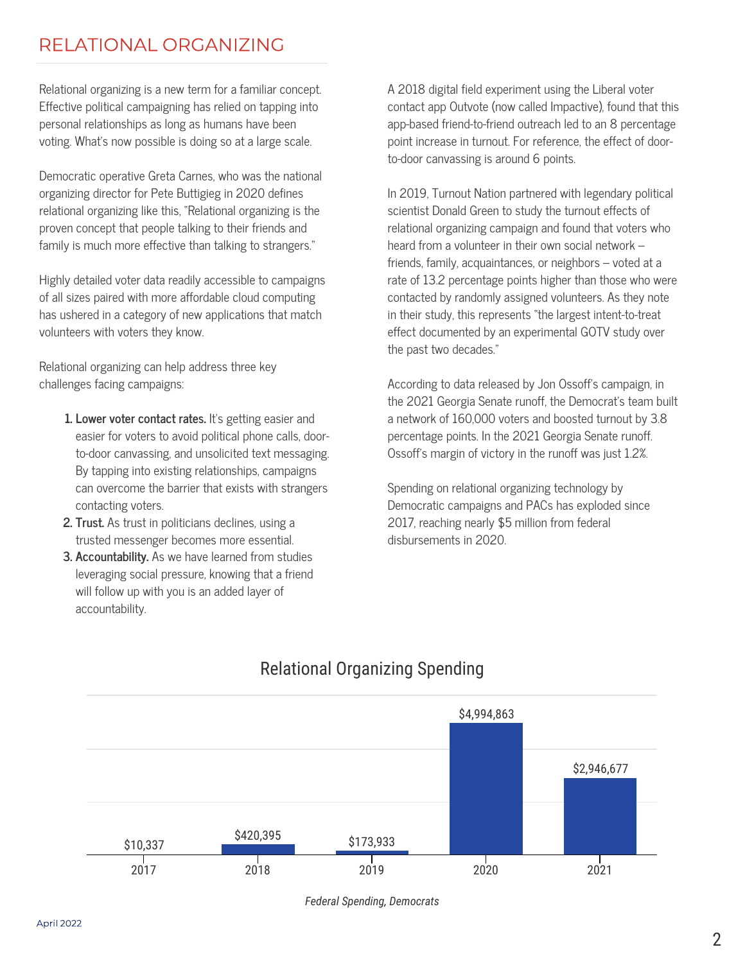## RELATIONAL ORGANIZING

Relational organizing is a new term for a familiar concept. Effective political campaigning has relied on tapping into personal relationships as long as humans have been voting. What's now possible is doing so at a large scale.

Democratic operative Greta Carnes, who was the national organizing director for Pete Buttigieg in 2020 defines relational organizing like this, "Relational organizing is the proven concept that people talking to their friends and family is much more effective than talking to strangers."

Highly detailed voter data readily accessible to campaigns of all sizes paired with more affordable cloud computing has ushered in a category of new applications that match volunteers with voters they know.

Relational organizing can help address three key challenges facing campaigns:

- **1. Lower voter contact rates.** It's getting easier and easier for voters to avoid political phone calls, doorto-door canvassing, and unsolicited text messaging. By tapping into existing relationships, campaigns can overcome the barrier that exists with strangers contacting voters.
- **2. Trust.** As trust in politicians declines, using a trusted messenger becomes more essential.
- **3. Accountability.** As we have learned from studies leveraging social pressure, knowing that a friend will follow up with you is an added layer of accountability.

A 2018 digital field experiment using the Liberal voter contact app Outvote (now called Impactive), found that this app-based friend-to-friend outreach led to an 8 percentage point increase in turnout. For reference, the effect of doorto-door canvassing is around 6 points.

In 2019, Turnout Nation partnered with legendary political scientist Donald Green to study the turnout effects of relational organizing campaign and found that voters who heard from a volunteer in their own social network – friends, family, acquaintances, or neighbors – voted at a rate of 13.2 percentage points higher than those who were contacted by randomly assigned volunteers. As they note in their study, this represents "the largest intent-to-treat effect documented by an experimental GOTV study over the past two decades."

According to data released by Jon Ossoff's campaign, in the 2021 Georgia Senate runoff, the Democrat's team built a network of 160,000 voters and boosted turnout by 3.8 percentage points. In the 2021 Georgia Senate runoff. Ossoff's margin of victory in the runoff was just 1.2%.

Spending on relational organizing technology by Democratic campaigns and PACs has exploded since 2017, reaching nearly \$5 million from federal disbursements in 2020.



## Relational Organizing Spending

*Federal Spending, Democrats*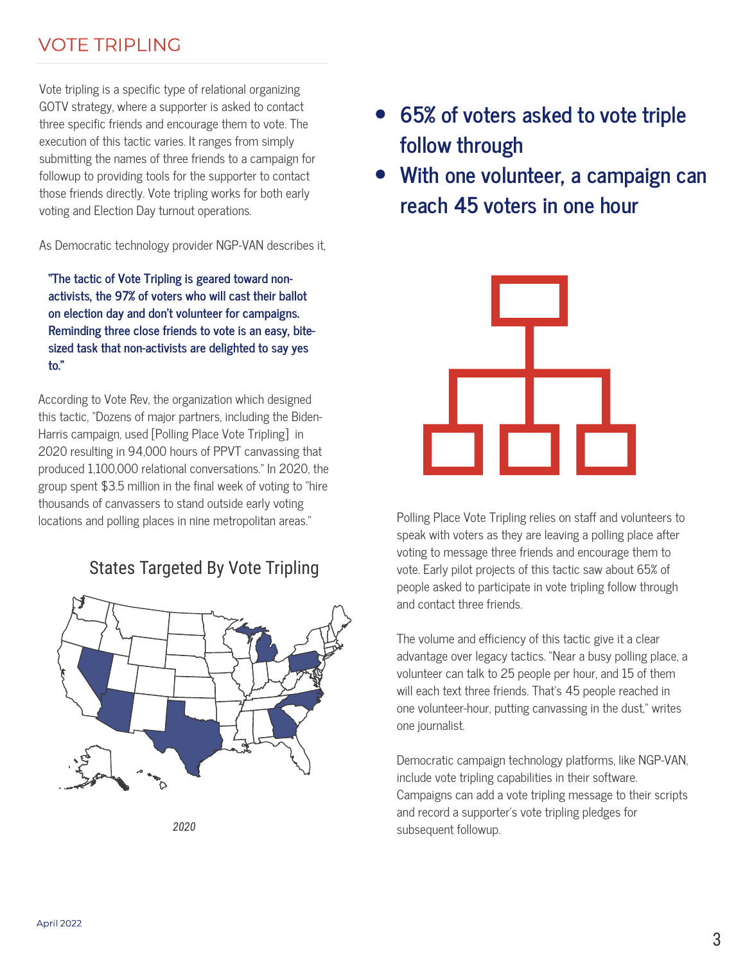## VOTE TRIPLING

Vote tripling is a specific type of relational organizing GOTV strategy, where a supporter is asked to contact three specific friends and encourage them to vote. The execution of this tactic varies. It ranges from simply submitting the names of three friends to a campaign for followup to providing tools for the supporter to contact those friends directly. Vote tripling works for both early voting and Election Day turnout operations.

As Democratic technology provider NGP-VAN describes it,

**"The tactic of Vote Tripling is geared toward nonactivists, the 97% of voters who will cast their ballot on election day and don't volunteer for campaigns. Reminding three close friends to vote is an easy, bitesized task that non-activists are delighted to say yes to."**

According to Vote Rev, the organization which designed this tactic, "Dozens of major partners, including the Biden-Harris campaign, used [Polling Place Vote Tripling] in 2020 resulting in 94,000 hours of PPVT canvassing that produced 1,100,000 relational conversations." In 2020, the group spent \$3.5 million in the final week of voting to "hire thousands of canvassers to stand outside early voting locations and polling places in nine metropolitan areas."

### States Targeted By Vote Tripling



- **65% of voters asked to vote triple follow through**
- **With one volunteer, a campaign can reach 45 voters in one hour**



Polling Place Vote Tripling relies on staff and volunteers to speak with voters as they are leaving a polling place after voting to message three friends and encourage them to vote. Early pilot projects of this tactic saw about 65% of people asked to participate in vote tripling follow through and contact three friends.

The volume and efficiency of this tactic give it a clear advantage over legacy tactics. "Near a busy polling place, a volunteer can talk to 25 people per hour, and 15 of them will each text three friends. That's 45 people reached in one volunteer-hour, putting canvassing in the dust," writes one journalist.

Democratic campaign technology platforms, like NGP-VAN, include vote tripling capabilities in their software. Campaigns can add a vote tripling message to their scripts and record a supporter's vote tripling pledges for subsequent followup. *2020*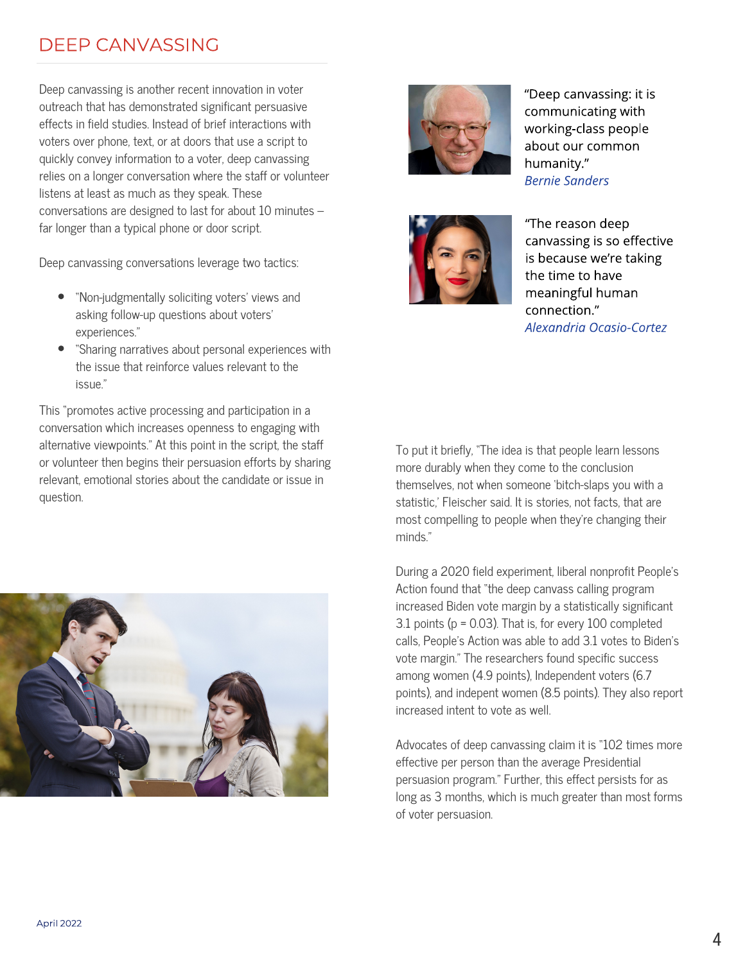## DEEP CANVASSING

Deep canvassing is another recent innovation in voter outreach that has demonstrated significant persuasive effects in field studies. Instead of brief interactions with voters over phone, text, or at doors that use a script to quickly convey information to a voter, deep canvassing relies on a longer conversation where the staff or volunteer listens at least as much as they speak. These conversations are designed to last for about 10 minutes – far longer than a typical phone or door script.

Deep canvassing conversations leverage two tactics:

- "Non-judgmentally soliciting voters' views and asking follow-up questions about voters' experiences."
- "Sharing narratives about personal experiences with the issue that reinforce values relevant to the issue."

This "promotes active processing and participation in a conversation which increases openness to engaging with alternative viewpoints." At this point in the script, the staff or volunteer then begins their persuasion efforts by sharing relevant, emotional stories about the candidate or issue in question.





"Deep canvassing: it is communicating with working-class people about our common humanity." Bernie Sanders



"The reason deep canvassing is so effective is because we're taking the time to have meaningful human connection." Alexandria Ocasio-Cortez

To put it briefly, "The idea is that people learn lessons more durably when they come to the conclusion themselves, not when someone 'bitch-slaps you with a statistic,' Fleischer said. It is stories, not facts, that are most compelling to people when they're changing their minds."

During a 2020 field experiment, liberal nonprofit People's Action found that "the deep canvass calling program increased Biden vote margin by a statistically significant 3.1 points (p = 0.03). That is, for every 100 completed calls, People's Action was able to add 3.1 votes to Biden's vote margin." The researchers found specific success among women (4.9 points), Independent voters (6.7 points), and indepent women (8.5 points). They also report increased intent to vote as well.

Advocates of deep canvassing claim it is "102 times more effective per person than the average Presidential persuasion program." Further, this effect persists for as long as 3 months, which is much greater than most forms of voter persuasion.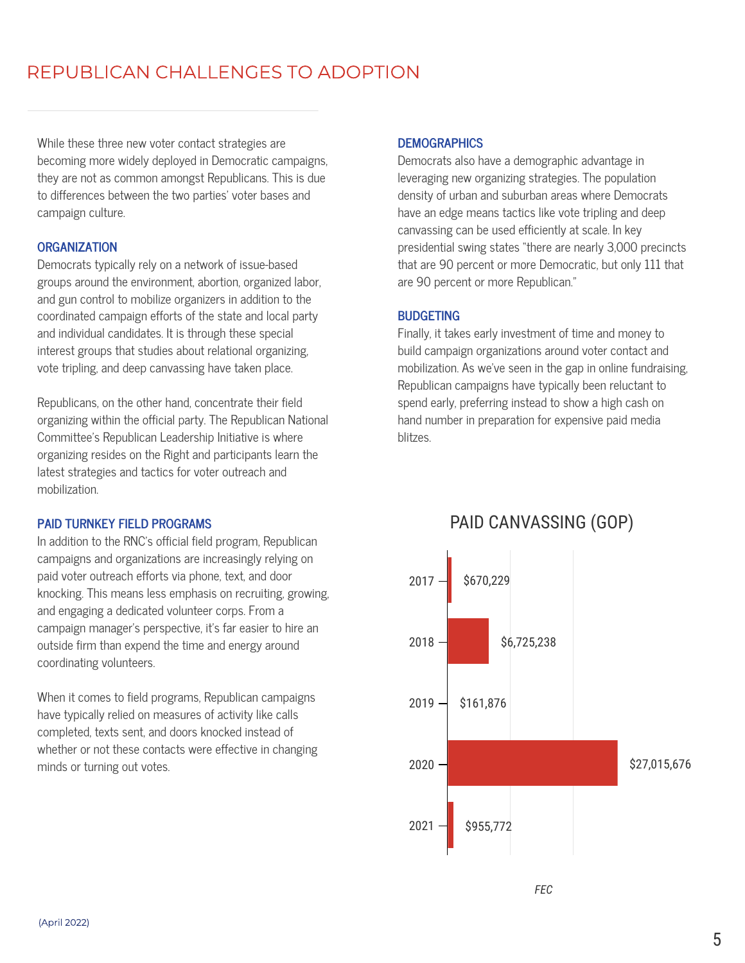## REPUBLICAN CHALLENGES TO ADOPTION

While these three new voter contact strategies are becoming more widely deployed in Democratic campaigns, they are not as common amongst Republicans. This is due to differences between the two parties' voter bases and campaign culture.

#### **ORGANIZATION**

Democrats typically rely on a network of issue-based groups around the environment, abortion, organized labor, and gun control to mobilize organizers in addition to the coordinated campaign efforts of the state and local party and individual candidates. It is through these special interest groups that studies about relational organizing, vote tripling, and deep canvassing have taken place.

Republicans, on the other hand, concentrate their field organizing within the official party. The Republican National Committee's Republican Leadership Initiative is where organizing resides on the Right and participants learn the latest strategies and tactics for voter outreach and mobilization.

#### **PAID TURNKEY FIELD PROGRAMS**

In addition to the RNC's official field program, Republican campaigns and organizations are increasingly relying on paid voter outreach efforts via phone, text, and door knocking. This means less emphasis on recruiting, growing, and engaging a dedicated volunteer corps. From a campaign manager's perspective, it's far easier to hire an outside firm than expend the time and energy around coordinating volunteers.

When it comes to field programs, Republican campaigns have typically relied on measures of activity like calls completed, texts sent, and doors knocked instead of whether or not these contacts were effective in changing minds or turning out votes.

#### **DEMOGRAPHICS**

Democrats also have a demographic advantage in leveraging new organizing strategies. The population density of urban and suburban areas where Democrats have an edge means tactics like vote tripling and deep canvassing can be used efficiently at scale. In key presidential swing states "there are nearly 3,000 precincts that are 90 percent or more Democratic, but only 111 that are 90 percent or more Republican."

#### **BUDGETING**

hand number in preparation for expensive paid media<br>blitzes. Finally, it takes early investment of time and money to build campaign organizations around voter contact and mobilization. As we've seen in the gap in online fundraising, Republican campaigns have typically been reluctant to spend early, preferring instead to show a high cash on blitzes.



### PAID CANVASSING (GOP)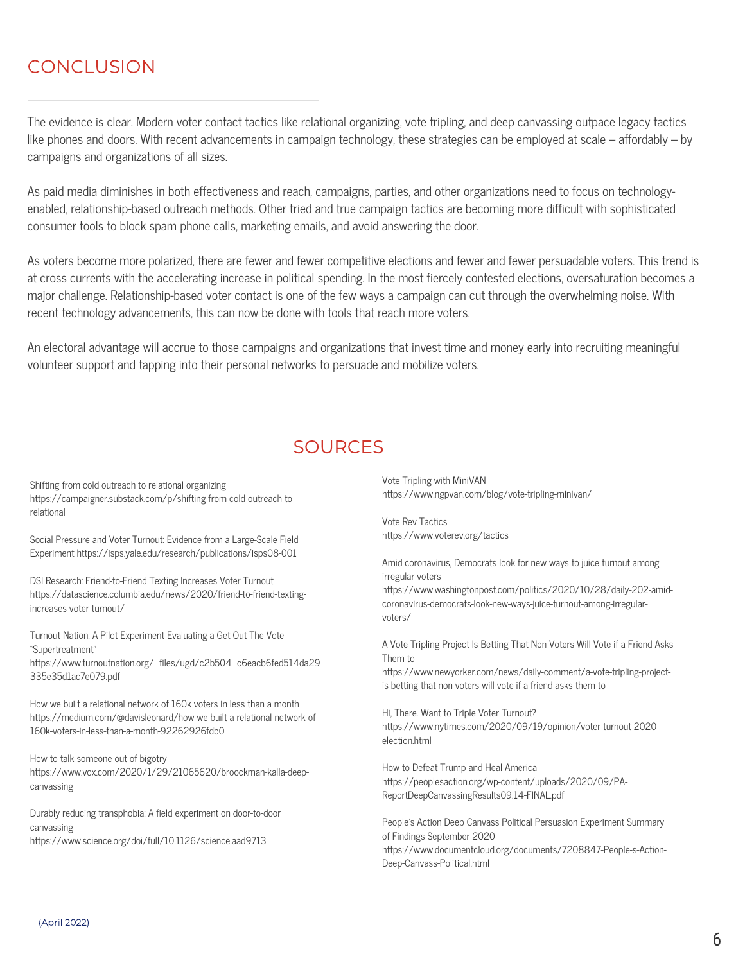## **CONCLUSION**

The evidence is clear. Modern voter contact tactics like relational organizing, vote tripling, and deep canvassing outpace legacy tactics like phones and doors. With recent advancements in campaign technology, these strategies can be employed at scale – affordably – by campaigns and organizations of all sizes.

As paid media diminishes in both effectiveness and reach, campaigns, parties, and other organizations need to focus on technologyenabled, relationship-based outreach methods. Other tried and true campaign tactics are becoming more difficult with sophisticated consumer tools to block spam phone calls, marketing emails, and avoid answering the door.

As voters become more polarized, there are fewer and fewer competitive elections and fewer and fewer persuadable voters. This trend is at cross currents with the accelerating increase in political spending. In the most fiercely contested elections, oversaturation becomes a major challenge. Relationship-based voter contact is one of the few ways a campaign can cut through the overwhelming noise. With recent technology advancements, this can now be done with tools that reach more voters.

An electoral advantage will accrue to those campaigns and organizations that invest time and money early into recruiting meaningful volunteer support and tapping into their personal networks to persuade and mobilize voters.

## SOURCES

Shifting from cold outreach to relational organizing https://campaigner.substack.com/p/shifting-from-cold-outreach-torelational

Social Pressure and Voter Turnout: Evidence from a Large-Scale Field Experiment https://isps.yale.edu/research/publications/isps08-001

DSI Research: Friend-to-Friend Texting Increases Voter Turnout https://datascience.columbia.edu/news/2020/friend-to-friend-textingincreases-voter-turnout/

Turnout Nation: A Pilot Experiment Evaluating a Get-Out-The-Vote "Supertreatment" https://www.turnoutnation.org/\_files/ugd/c2b504\_c6eacb6fed514da29 335e35d1ac7e079.pdf

How we built a relational network of 160k voters in less than a month https://medium.com/@davisleonard/how-we-built-a-relational-network-of-160k-voters-in-less-than-a-month-92262926fdb0

How to talk someone out of bigotry https://www.vox.com/2020/1/29/21065620/broockman-kalla-deepcanvassing

Durably reducing transphobia: A field experiment on door-to-door canvassing https://www.science.org/doi/full/10.1126/science.aad9713

Vote Tripling with MiniVAN https://www.ngpvan.com/blog/vote-tripling-minivan/

Vote Rev Tactics https://www.voterev.org/tactics

Amid coronavirus, Democrats look for new ways to juice turnout among irregular voters

https://www.washingtonpost.com/politics/2020/10/28/daily-202-amidcoronavirus-democrats-look-new-ways-juice-turnout-among-irregularvoters/

A Vote-Tripling Project Is Betting That Non-Voters Will Vote if a Friend Asks Them to

https://www.newyorker.com/news/daily-comment/a-vote-tripling-projectis-betting-that-non-voters-will-vote-if-a-friend-asks-them-to

Hi, There. Want to Triple Voter Turnout? https://www.nytimes.com/2020/09/19/opinion/voter-turnout-2020 election.html

How to Defeat Trump and Heal America https://peoplesaction.org/wp-content/uploads/2020/09/PA-ReportDeepCanvassingResults09.14-FINAL.pdf

People's Action Deep Canvass Political Persuasion Experiment Summary of Findings September 2020 https://www.documentcloud.org/documents/7208847-People-s-Action-Deep-Canvass-Political.html